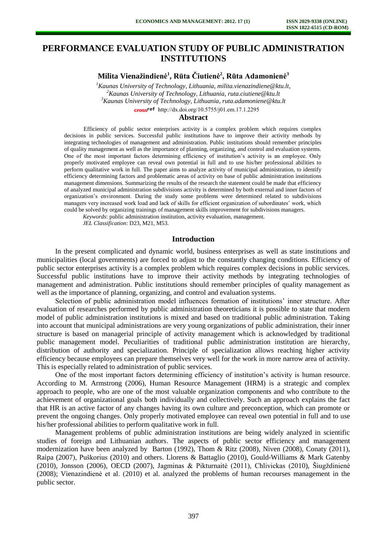# **PERFORMANCE EVALUATION STUDY OF PUBLIC ADMINISTRATION INSTITUTIONS**

**Milita Vienažindienė<sup>1</sup> , Rūta Čiutienė<sup>2</sup> , Rūta Adamonienė<sup>3</sup>**

*Kaunas University of Technology, Lithuania, [milita.vienazindiene@ktu.lt,](mailto:milit.vienazindiene@ktu.lt) Kaunas University of Technology, Lithuania[, ruta.ciutiene@ktu.lt](mailto:ruta.ciutiene@ktu.lt) Kaunas University of Technology, Lithuania, [ruta.adamoniene@ktu.lt](mailto:ruta.adamoniene@ktu.lt)* [http://dx.doi.org/10.5755/j01.e](http://dx.doi.org/10.5755/j01.em.17.1.2295)m.17.1.2295

### **Abstract**

Efficiency of public sector enterprises activity is a complex problem which requires complex decisions in public services. Successful public institutions have to improve their activity methods by integrating technologies of management and administration. Public institutions should remember principles of quality management as well as the importance of planning, organizing, and control and evaluation systems. One of the most important factors determining efficiency of institution's activity is an employee. Only properly motivated employee can reveal own potential in full and to use his/her professional abilities to perform qualitative work in full. The paper aims to analyze activity of municipal administration, to identify efficiency determining factors and problematic areas of activity on base of public administration institutions management dimensions. Summarizing the results of the research the statement could be made that efficiency of analyzed municipal administration subdivisions activity is determined by both external and inner factors of organization's environment. During the study some problems were determined related to subdivisions managers very increased work load and lack of skills for efficient organization of subordinates' work, which could be solved by organizing trainings of management skills improvement for subdivisions managers.

*Keywords*: public administration institution, activity evaluation, management.

*JEL Classification*: D23, M21, M53.

### **Introduction**

In the present complicated and dynamic world, business enterprises as well as state institutions and municipalities (local governments) are forced to adjust to the constantly changing conditions. Efficiency of public sector enterprises activity is a complex problem which requires complex decisions in public services. Successful public institutions have to improve their activity methods by integrating technologies of management and administration. Public institutions should remember principles of quality management as well as the importance of planning, organizing, and control and evaluation systems.

Selection of public administration model influences formation of institutions' inner structure. After evaluation of researches performed by public administration theoreticians it is possible to state that modern model of public administration institutions is mixed and based on traditional public administration. Taking into account that municipal administrations are very young organizations of public administration, their inner structure is based on managerial principle of activity management which is acknowledged by traditional public management model. Peculiarities of traditional public administration institution are hierarchy, distribution of authority and specialization. Principle of specialization allows reaching higher activity efficiency because employees can prepare themselves very well for the work in more narrow area of activity. This is especially related to administration of public services.

One of the most important factors determining efficiency of institution's activity is human resource. According to M. Armstrong (2006), Human Resource Management (HRM) is a strategic and complex approach to people, who are one of the most valuable organization components and who contribute to the achievement of organizational goals both individually and collectively. Such an approach explains the fact that HR is an active factor of any changes having its own culture and preconception, which can promote or prevent the ongoing changes. Only properly motivated employee can reveal own potential in full and to use his/her professional abilities to perform qualitative work in full.

Management problems of public administration institutions are being widely analyzed in scientific studies of foreign and Lithuanian authors. The aspects of public sector efficiency and management modernization have been analyzed by Barton (1992), Thom & Ritz (2008), Niven (2008), Conaty (2011), Raipa (2007), Puškorius (2010) and others. Llorens & Battaglio (2010), Gould-Williams & Mark Gatenby (2010), Jonsson (2006), OECD (2007), Jagminas & Pikturnaitė (2011), Chlivickas (2010), Šiugždinienė (2008); Vienazindienė et al. (2010) et al. analyzed the problems of human recourses management in the public sector.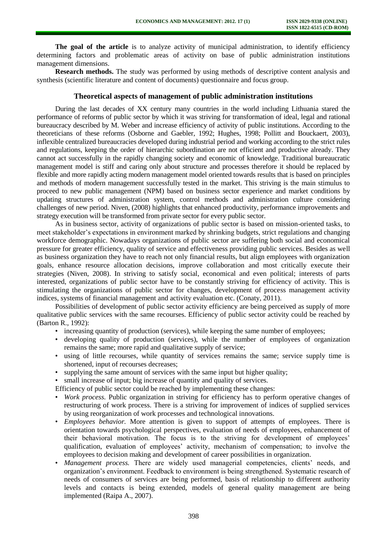**The goal of the article** is to analyze activity of municipal administration, to identify efficiency determining factors and problematic areas of activity on base of public administration institutions management dimensions.

**Research methods.** The study was performed by using methods of descriptive content analysis and synthesis (scientific literature and content of documents) questionnaire and focus group.

### **Theoretical aspects of management of public administration institutions**

During the last decades of XX century many countries in the world including Lithuania stared the performance of reforms of public sector by which it was striving for transformation of ideal, legal and rational bureaucracy described by M. Weber and increase efficiency of activity of public institutions. According to the theoreticians of these reforms (Osborne and Gaebler, 1992; Hughes, 1998; Pollitt and Bouckaert, 2003), inflexible centralized bureaucracies developed during industrial period and working according to the strict rules and regulations, keeping the order of hierarchic subordination are not efficient and productive already. They cannot act successfully in the rapidly changing society and economic of knowledge. Traditional bureaucratic management model is stiff and caring only about structure and processes therefore it should be replaced by flexible and more rapidly acting modern management model oriented towards results that is based on principles and methods of modern management successfully tested in the market. This striving is the main stimulus to proceed to new public management (NPM) based on business sector experience and market conditions by updating structures of administration system, control methods and administration culture considering challenges of new period. Niven, (2008) highlights that enhanced productivity, performance improvements and strategy execution will be transformed from private sector for every public sector.

As in business sector, activity of organizations of public sector is based on mission-oriented tasks, to meet stakeholder's expectations in environment marked by shrinking budgets, strict regulations and changing workforce demographic. Nowadays organizations of public sector are suffering both social and economical pressure for greater efficiency, quality of service and effectiveness providing public services. Besides as well as business organization they have to reach not only financial results, but align employees with organization goals, enhance resource allocation decisions, improve collaboration and most critically execute their strategies (Niven, 2008). In striving to satisfy social, economical and even political; interests of parts interested, organizations of public sector have to be constantly striving for efficiency of activity. This is stimulating the organizations of public sector for changes, development of process management activity indices, systems of financial management and activity evaluation etc. (Conaty, 2011).

Possibilities of development of public sector activity efficiency are being perceived as supply of more qualitative public services with the same recourses. Efficiency of public sector activity could be reached by (Barton R., 1992):

- increasing quantity of production (services), while keeping the same number of employees;
- developing quality of production (services), while the number of employees of organization remains the same; more rapid and qualitative supply of service;
- using of little recourses, while quantity of services remains the same; service supply time is shortened, input of recourses decreases;
- supplying the same amount of services with the same input but higher quality;
- small increase of input; big increase of quantity and quality of services.

Efficiency of public sector could be reached by implementing these changes:

- *Work process.* Public organization in striving for efficiency has to perform operative changes of restructuring of work process. There is a striving for improvement of indices of supplied services by using reorganization of work processes and technological innovations.
- *Employees behavior.* More attention is given to support of attempts of employees. There is orientation towards psychological perspectives, evaluation of needs of employees, enhancement of their behavioral motivation. The focus is to the striving for development of employees' qualification, evaluation of employees' activity, mechanism of compensation; to involve the employees to decision making and development of career possibilities in organization.
- *Management process.* There are widely used managerial competencies, clients' needs, and organization's environment. Feedback to environment is being strengthened. Systematic research of needs of consumers of services are being performed, basis of relationship to different authority levels and contacts is being extended, models of general quality management are being implemented (Raipa A., 2007).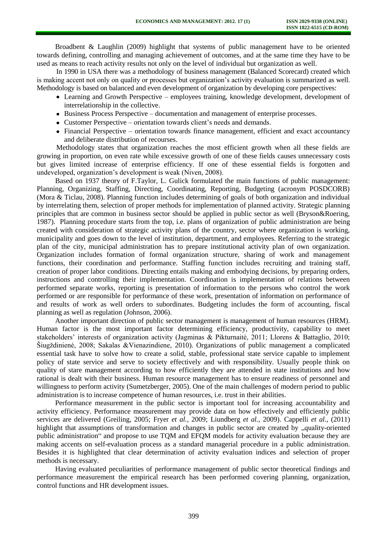Broadbent & Laughlin (2009) highlight that systems of public management have to be oriented towards defining, controlling and managing achievement of outcomes, and at the same time they have to be used as means to reach activity results not only on the level of individual but organization as well.

In 1990 in USA there was a methodology of business management (Balanced Scorecard) created which is making accent not only on quality or processes but organization's activity evaluation is summarized as well. Methodology is based on balanced and even development of organization by developing core perspectives:

- Learning and Growth Perspective employees training, knowledge development, development of interrelationship in the collective.
- Business Process Perspective documentation and management of enterprise processes.
- Customer Perspective orientation towards client's needs and demands.
- Financial Perspective orientation towards finance management, efficient and exact accountancy and deliberate distribution of recourses.

Methodology states that organization reaches the most efficient growth when all these fields are growing in proportion, on even rate while excessive growth of one of these fields causes unnecessary costs but gives limited increase of enterprise efficiency. If one of these essential fields is forgotten and undeveloped, organization's development is weak (Niven, 2008).

Based on 1937 theory of F.Taylor, L. Gulick formulated the main functions of public management: Planning, Organizing, Staffing, Directing, Coordinating, Reporting, Budgeting (acronym POSDCORB) (Mora & Ticlau, 2008). Planning function includes determining of goals of both organization and individual by interrelating them, selection of proper methods for implementation of planned activity. Strategic planning principles that are common in business sector should be applied in public sector as well (Bryson&Roering, 1987). Planning procedure starts from the top, i.e. plans of organization of public administration are being created with consideration of strategic activity plans of the country, sector where organization is working, municipality and goes down to the level of institution, department, and employees. Referring to the strategic plan of the city, municipal administration has to prepare institutional activity plan of own organization. Organization includes formation of formal organization structure, sharing of work and management functions, their coordination and performance. Staffing function includes recruiting and training staff, creation of proper labor conditions. Directing entails making and embodying decisions, by preparing orders, instructions and controlling their implementation. Coordination is implementation of relations between performed separate works, reporting is presentation of information to the persons who control the work performed or are responsible for performance of these work, presentation of information on performance of and results of work as well orders to subordinates. Budgeting includes the form of accounting, fiscal planning as well as regulation (Johnson, 2006).

Another important direction of public sector management is management of human resources (HRM). Human factor is the most important factor determining efficiency, productivity, capability to meet stakeholders' interests of organization activity (Jagminas & Pikturnaitė, 2011; Llorens & Battaglio, 2010; Šiugždinienė, 2008; Sakalas &Vienazindiene*,* 2010). Organizations of public management a complicated essential task have to solve how to create a solid, stable, professional state service capable to implement policy of state service and serve to society effectively and with responsibility. Usually people think on quality of stare management according to how efficiently they are attended in state institutions and how rational is dealt with their business. Human resource management has to ensure readiness of personnel and willingness to perform activity (Sumetzberger, 2005). One of the main challenges of modern period to public administration is to increase competence of human resources, i.e. trust in their abilities.

Performance measurement in the public sector is important tool for increasing accountability and activity efficiency. Performance measurement may provide data on how effectively and efficiently public services are delivered (Greiling, 2005; Fryer *et al.,* 2009; Liundberg *et al.,* 2009). Cappelli *et al.,* (2011) highlight that assumptions of transformation and changes in public sector are created by "quality-oriented public administration" and propose to use TQM and EFQM models for activity evaluation because they are making accents on self-evaluation process as a standard managerial procedure in a public administration. Besides it is highlighted that clear determination of activity evaluation indices and selection of proper methods is necessary.

Having evaluated peculiarities of performance management of public sector theoretical findings and performance measurement the empirical research has been performed covering planning, organization, control functions and HR development issues.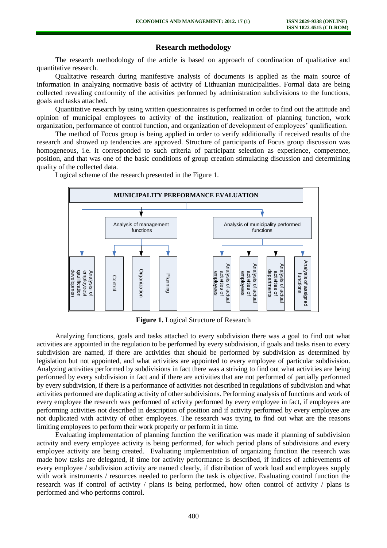## **Research methodology**

The research methodology of the article is based on approach of coordination of qualitative and quantitative research.

Qualitative research during manifestive analysis of documents is applied as the main source of information in analyzing normative basis of activity of Lithuanian municipalities. Formal data are being collected revealing conformity of the activities performed by administration subdivisions to the functions, goals and tasks attached.

Quantitative research by using written questionnaires is performed in order to find out the attitude and opinion of municipal employees to activity of the institution, realization of planning function, work organization, performance of control function, and organization of development of employees' qualification.

The method of Focus group is being applied in order to verify additionally if received results of the research and showed up tendencies are approved. Structure of participants of Focus group discussion was homogeneous, i.e. it corresponded to such criteria of participant selection as experience, competence, position, and that was one of the basic conditions of group creation stimulating discussion and determining quality of the collected data.

Logical scheme of the research presented in the Figure 1.



**Figure 1.** Logical Structure of Research

Analyzing functions, goals and tasks attached to every subdivision there was a goal to find out what activities are appointed in the regulation to be performed by every subdivision, if goals and tasks risen to every subdivision are named, if there are activities that should be performed by subdivision as determined by legislation but not appointed, and what activities are appointed to every employee of particular subdivision. Analyzing activities performed by subdivisions in fact there was a striving to find out what activities are being performed by every subdivision in fact and if there are activities that are not performed of partially performed by every subdivision, if there is a performance of activities not described in regulations of subdivision and what activities performed are duplicating activity of other subdivisions. Performing analysis of functions and work of every employee the research was performed of activity performed by every employee in fact, if employees are performing activities not described in description of position and if activity performed by every employee are not duplicated with activity of other employees. The research was trying to find out what are the reasons limiting employees to perform their work properly or perform it in time.

Evaluating implementation of planning function the verification was made if planning of subdivision activity and every employee activity is being performed, for which period plans of subdivisions and every employee activity are being created. Evaluating implementation of organizing function the research was made how tasks are delegated, if time for activity performance is described, if indices of achievements of every employee / subdivision activity are named clearly, if distribution of work load and employees supply with work instruments / resources needed to perform the task is objective. Evaluating control function the research was if control of activity / plans is being performed, how often control of activity / plans is performed and who performs control.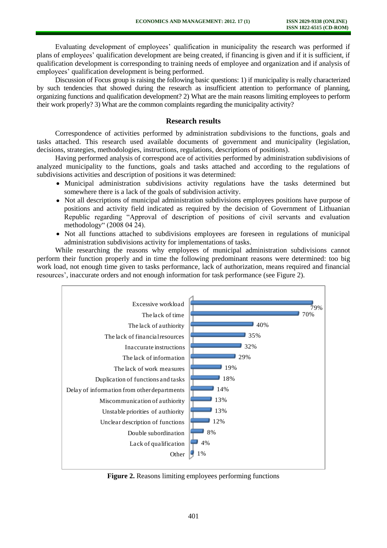Evaluating development of employees' qualification in municipality the research was performed if plans of employees' qualification development are being created, if financing is given and if it is sufficient, if qualification development is corresponding to training needs of employee and organization and if analysis of employees' qualification development is being performed.

Discussion of Focus group is raising the following basic questions: 1) if municipality is really characterized by such tendencies that showed during the research as insufficient attention to performance of planning, organizing functions and qualification development? 2) What are the main reasons limiting employees to perform their work properly? 3) What are the common complaints regarding the municipality activity?

### **Research results**

Correspondence of activities performed by administration subdivisions to the functions, goals and tasks attached. This research used available documents of government and municipality (legislation, decisions, strategies, methodologies, instructions, regulations, descriptions of positions).

Having performed analysis of correspond ace of activities performed by administration subdivisions of analyzed municipality to the functions, goals and tasks attached and according to the regulations of subdivisions activities and description of positions it was determined:

- Municipal administration subdivisions activity regulations have the tasks determined but somewhere there is a lack of the goals of subdivision activity.
- Not all descriptions of municipal administration subdivisions employees positions have purpose of positions and activity field indicated as required by the decision of Government of Lithuanian Republic regarding "Approval of description of positions of civil servants and evaluation methodology" (2008 04 24).
- Not all functions attached to subdivisions employees are foreseen in regulations of municipal administration subdivisions activity for implementations of tasks.

While researching the reasons why employees of municipal administration subdivisions cannot perform their function properly and in time the following predominant reasons were determined: too big work load, not enough time given to tasks performance, lack of authorization, means required and financial resources', inaccurate orders and not enough information for task performance (see Figure 2).



**Figure 2.** Reasons limiting employees performing functions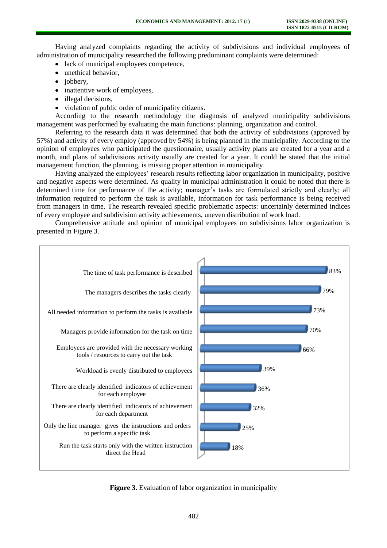Having analyzed complaints regarding the activity of subdivisions and individual employees of administration of municipality researched the following predominant complaints were determined:

lack of municipal employees competence,

- unethical behavior,
- jobbery,
- inattentive work of employees,
- illegal decisions.
- violation of public order of municipality citizens.

According to the research methodology the diagnosis of analyzed municipality subdivisions management was performed by evaluating the main functions: planning, organization and control.

Referring to the research data it was determined that both the activity of subdivisions (approved by 57%) and activity of every employ (approved by 54%) is being planned in the municipality. According to the opinion of employees who participated the questionnaire, usually activity plans are created for a year and a month, and plans of subdivisions activity usually are created for a year. It could be stated that the initial management function, the planning, is missing proper attention in municipality.

Having analyzed the employees' research results reflecting labor organization in municipality, positive and negative aspects were determined. As quality in municipal administration it could be noted that there is determined time for performance of the activity; manager's tasks are formulated strictly and clearly; all information required to perform the task is available, information for task performance is being received from managers in time. The research revealed specific problematic aspects: uncertainly determined indices of every employee and subdivision activity achievements, uneven distribution of work load.

Comprehensive attitude and opinion of municipal employees on subdivisions labor organization is presented in Figure 3.



**Figure 3.** Evaluation of labor organization in municipality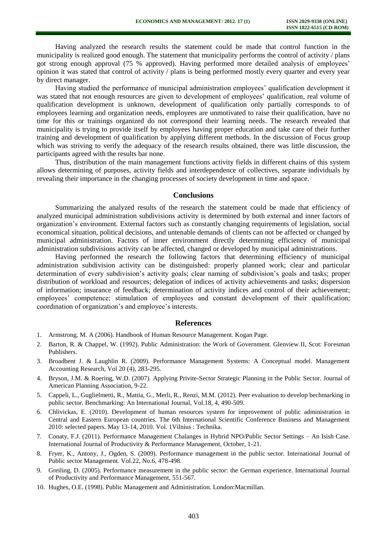Having analyzed the research results the statement could be made that control function in the municipality is realized good enough. The statement that municipality performs the control of activity / plans got strong enough approval (75 % approved). Having performed more detailed analysis of employees' opinion it was stated that control of activity / plans is being performed mostly every quarter and every year by direct manager.

Having studied the performance of municipal administration employees' qualification development it was stated that not enough resources are given to development of employees' qualification, real volume of qualification development is unknown, development of qualification only partially corresponds to of employees learning and organization needs, employees are unmotivated to raise their qualification, have no time for this or trainings organized do not correspond their learning needs. The research revealed that municipality is trying to provide itself by employees having proper education and take care of their further training and development of qualification by applying different methods. In the discussion of Focus group which was striving to verify the adequacy of the research results obtained, there was little discussion, the participants agreed with the results bar none.

Thus, distribution of the main management functions activity fields in different chains of this system allows determining of purposes, activity fields and interdependence of collectives, separate individuals by revealing their importance in the changing processes of society development in time and space.

### **Conclusions**

Summarizing the analyzed results of the research the statement could be made that efficiency of analyzed municipal administration subdivisions activity is determined by both external and inner factors of organization's environment. External factors such as constantly changing requirements of legislation, social economical situation, political decisions, and untenable demands of clients can not be affected or changed by municipal administration. Factors of inner environment directly determining efficiency of municipal administration subdivisions activity can be affected, changed or developed by municipal administrations.

Having performed the research the following factors that determining efficiency of municipal administration subdivision activity can be distinguished: properly planned work; clear and particular determination of every subdivision's activity goals; clear naming of subdivision's goals and tasks; proper distribution of workload and resources; delegation of indices of activity achievements and tasks; dispersion of information; insurance of feedback; determination of activity indices and control of their achievement; employees' competence; stimulation of employees and constant development of their qualification; coordination of organization's and employee's interests.

#### **References**

- 1. Armstrong, M. A (2006). Handbook of Human Resource Management. Kogan Page.
- 2. Barton, R. & Chappel, W. (1992). Public Administration: the Work of Government. Glenview II, Scot: Foresman Publishers.
- 3. Broadbent J. & Laughlin R. (2009). Performance Management Systems: A Conceptual model. Management Accounting Research, Vol 20 (4), 283-295.
- 4. Bryson, J.M. & Roering, W.D. (2007). Applying Privite-Sector Strategic Planning in the Public Sector. Journal of American Planning Association, 9-22.
- 5. Cappeli, L., Guglielmetti, R., Mattia, G., Merli, R., Renzi, M.M. (2012). Peer evaluation to develop bechmarking in public sector. Benchmarking: An International Journal, Vol.18, 4, 490-509.
- 6. Chlivickas, E. (2010). Development of human resources system for improvement of public administration in Central and Eastern European countries. The 6th International Scientific Conference Business and Management 2010: selected papers. May 13-14, 2010. Vol. 1Vilnius : Technika.
- 7. Conaty, F.J. (2011). Performance Management Chalanges in Hybrid NPO/Public Sector Settings An Isish Case. International Journal of Productivity & Performance Management, October, 1-21.
- 8. Fryer, K., Antony, J., Ogden, S. (2009). Performance management in the public sector. International Journal of Public sector Management. Vol.22, No.6, 478-498.
- 9. Greiling, D. (2005). Performance measurement in the public sector: the German experience. International Journal of Productivity and Performance Management, 551-567.
- 10. Hughes, O.E. (1998). Public Management and Administration. London:Macmillan.